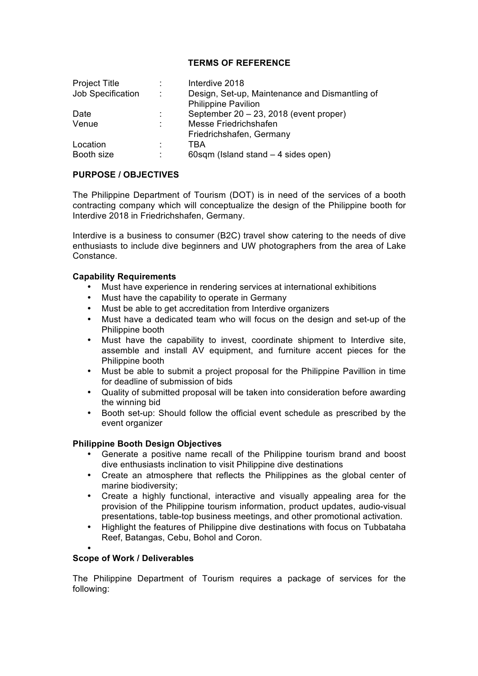### **TERMS OF REFERENCE**

| <b>Project Title</b> | t             | Interdive 2018                                 |
|----------------------|---------------|------------------------------------------------|
| Job Specification    | $\mathcal{L}$ | Design, Set-up, Maintenance and Dismantling of |
|                      |               | <b>Philippine Pavilion</b>                     |
| Date                 | ٠             | September 20 - 23, 2018 (event proper)         |
| Venue                | ÷             | Messe Friedrichshafen                          |
|                      |               | Friedrichshafen, Germany                       |
| Location             | ٠             | TBA                                            |
| Booth size           | ٠             | 60sqm (Island stand $-4$ sides open)           |

### **PURPOSE / OBJECTIVES**

The Philippine Department of Tourism (DOT) is in need of the services of a booth contracting company which will conceptualize the design of the Philippine booth for Interdive 2018 in Friedrichshafen, Germany.

Interdive is a business to consumer (B2C) travel show catering to the needs of dive enthusiasts to include dive beginners and UW photographers from the area of Lake Constance.

### **Capability Requirements**

- Must have experience in rendering services at international exhibitions
- Must have the capability to operate in Germany
- Must be able to get accreditation from Interdive organizers
- Must have a dedicated team who will focus on the design and set-up of the Philippine booth
- Must have the capability to invest, coordinate shipment to Interdive site, assemble and install AV equipment, and furniture accent pieces for the Philippine booth
- Must be able to submit a project proposal for the Philippine Pavillion in time for deadline of submission of bids
- Quality of submitted proposal will be taken into consideration before awarding the winning bid
- Booth set-up: Should follow the official event schedule as prescribed by the event organizer

# **Philippine Booth Design Objectives**

- Generate a positive name recall of the Philippine tourism brand and boost dive enthusiasts inclination to visit Philippine dive destinations
- Create an atmosphere that reflects the Philippines as the global center of marine biodiversity;
- Create a highly functional, interactive and visually appealing area for the provision of the Philippine tourism information, product updates, audio-visual presentations, table-top business meetings, and other promotional activation.
- Highlight the features of Philippine dive destinations with focus on Tubbataha Reef, Batangas, Cebu, Bohol and Coron.
- •

#### **Scope of Work / Deliverables**

The Philippine Department of Tourism requires a package of services for the following: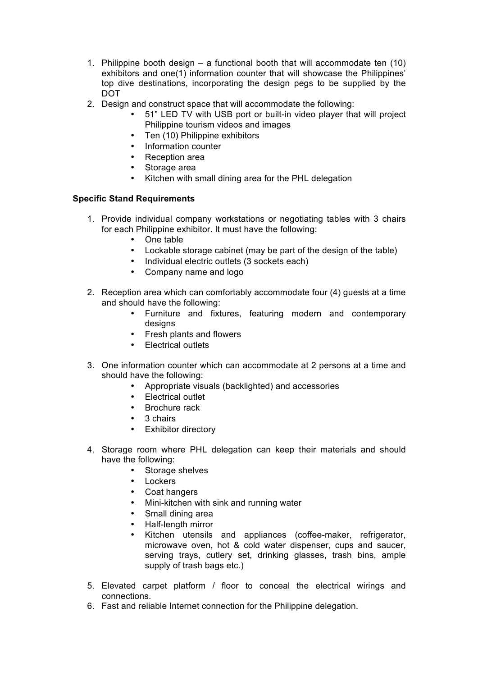- 1. Philippine booth design a functional booth that will accommodate ten (10) exhibitors and one(1) information counter that will showcase the Philippines' top dive destinations, incorporating the design pegs to be supplied by the DOT
- 2. Design and construct space that will accommodate the following:
	- 51" LED TV with USB port or built-in video player that will project Philippine tourism videos and images
	- Ten (10) Philippine exhibitors
	- Information counter
	- Reception area
	- Storage area
	- Kitchen with small dining area for the PHL delegation

### **Specific Stand Requirements**

- 1. Provide individual company workstations or negotiating tables with 3 chairs for each Philippine exhibitor. It must have the following:
	- One table
	- Lockable storage cabinet (may be part of the design of the table)
	- Individual electric outlets (3 sockets each)
	- Company name and logo
- 2. Reception area which can comfortably accommodate four (4) guests at a time and should have the following:
	- Furniture and fixtures, featuring modern and contemporary designs
	- Fresh plants and flowers
	- Electrical outlets
- 3. One information counter which can accommodate at 2 persons at a time and should have the following:
	- Appropriate visuals (backlighted) and accessories
	- Electrical outlet
	- Brochure rack
	- 3 chairs
	- Exhibitor directory
- 4. Storage room where PHL delegation can keep their materials and should have the following:
	- Storage shelves
	- **Lockers**
	- Coat hangers
	- Mini-kitchen with sink and running water
	- Small dining area
	- Half-length mirror
	- Kitchen utensils and appliances (coffee-maker, refrigerator, microwave oven, hot & cold water dispenser, cups and saucer, serving trays, cutlery set, drinking glasses, trash bins, ample supply of trash bags etc.)
- 5. Elevated carpet platform / floor to conceal the electrical wirings and connections.
- 6. Fast and reliable Internet connection for the Philippine delegation.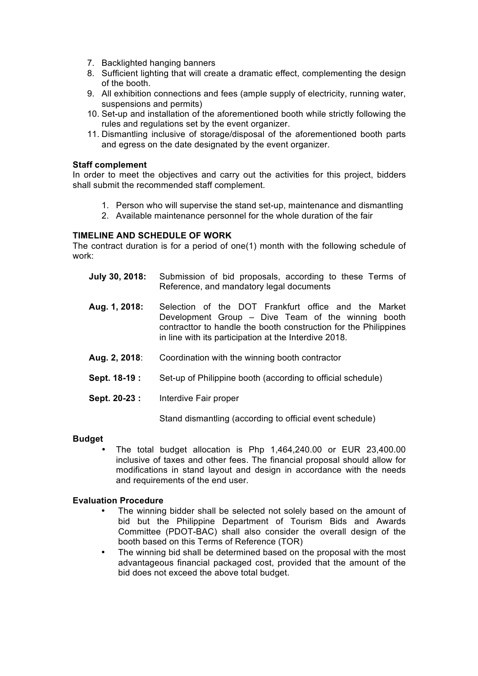- 7. Backlighted hanging banners
- 8. Sufficient lighting that will create a dramatic effect, complementing the design of the booth.
- 9. All exhibition connections and fees (ample supply of electricity, running water, suspensions and permits)
- 10. Set-up and installation of the aforementioned booth while strictly following the rules and regulations set by the event organizer.
- 11. Dismantling inclusive of storage/disposal of the aforementioned booth parts and egress on the date designated by the event organizer.

# **Staff complement**

In order to meet the objectives and carry out the activities for this project, bidders shall submit the recommended staff complement.

- 1. Person who will supervise the stand set-up, maintenance and dismantling
- 2. Available maintenance personnel for the whole duration of the fair

# **TIMELINE AND SCHEDULE OF WORK**

The contract duration is for a period of one(1) month with the following schedule of work:

- **July 30, 2018:** Submission of bid proposals, according to these Terms of Reference, and mandatory legal documents
- **Aug. 1, 2018:** Selection of the DOT Frankfurt office and the Market Development Group – Dive Team of the winning booth contracttor to handle the booth construction for the Philippines in line with its participation at the Interdive 2018.
- **Aug. 2, 2018**: Coordination with the winning booth contractor
- **Sept. 18-19 :** Set-up of Philippine booth (according to official schedule)
- **Sept. 20-23 :** Interdive Fair proper

Stand dismantling (according to official event schedule)

#### **Budget**

• The total budget allocation is Php 1,464,240.00 or EUR 23,400.00 inclusive of taxes and other fees. The financial proposal should allow for modifications in stand layout and design in accordance with the needs and requirements of the end user.

# **Evaluation Procedure**

- The winning bidder shall be selected not solely based on the amount of bid but the Philippine Department of Tourism Bids and Awards Committee (PDOT-BAC) shall also consider the overall design of the booth based on this Terms of Reference (TOR)
- The winning bid shall be determined based on the proposal with the most advantageous financial packaged cost, provided that the amount of the bid does not exceed the above total budget.